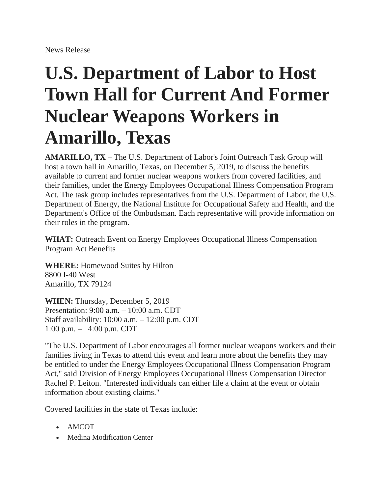## **U.S. Department of Labor to Host Town Hall for Current And Former Nuclear Weapons Workers in Amarillo, Texas**

**AMARILLO, TX** – The U.S. Department of Labor's Joint Outreach Task Group will host a town hall in Amarillo, Texas, on December 5, 2019, to discuss the benefits available to current and former nuclear weapons workers from covered facilities, and their families, under the Energy Employees Occupational Illness Compensation Program Act. The task group includes representatives from the U.S. Department of Labor, the U.S. Department of Energy, the National Institute for Occupational Safety and Health, and the Department's Office of the Ombudsman. Each representative will provide information on their roles in the program.

**WHAT:** Outreach Event on Energy Employees Occupational Illness Compensation Program Act Benefits

**WHERE:** Homewood Suites by Hilton 8800 I-40 West Amarillo, TX 79124

**WHEN:** Thursday, December 5, 2019 Presentation: 9:00 a.m. – 10:00 a.m. CDT Staff availability: 10:00 a.m. – 12:00 p.m. CDT 1:00 p.m. – 4:00 p.m. CDT

"The U.S. Department of Labor encourages all former nuclear weapons workers and their families living in Texas to attend this event and learn more about the benefits they may be entitled to under the Energy Employees Occupational Illness Compensation Program Act," said Division of Energy Employees Occupational Illness Compensation Director Rachel P. Leiton. "Interested individuals can either file a claim at the event or obtain information about existing claims."

Covered facilities in the state of Texas include:

- AMCOT
- Medina Modification Center